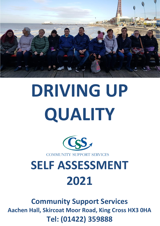

# **DRIVING UP QUALITY**



**COMMUNITY SUPPORT SERVICES** 

## **SELF ASSESSMENT 2021**

**Community Support Services Aachen Hall, Skircoat Moor Road, King Cross HX3 0HA Tel: (01422) 359888**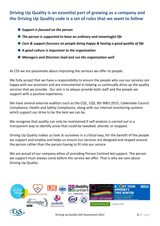**Driving Up Quality is an essential part of growing as a company and the Driving Up Quality code is a set of rules that we want to follow**

- ◆ *Support is focused on the person*
- ◆ *The person is supported to have an ordinary and meaningful life*
- ◆ *Care & support focusses on people being happy & having a good quality of life*
- ◆ *A good culture is important to the organisation*
- ◆ *Managers and Directors lead and run the organisation well*

At CSS we are passionate about improving the services we offer to people.

We fully accept that we have a responsibility to ensure the people who use our services are happy with our provision and are instrumental in helping us continually drive up the quality services that we provide. Our aim is to always provide both staff and the people we support with a positive experience.

We have several external auditors such as the CQC, CQS, BSI 9001:2015, Calderdale Council Compliance, Health and Safety Compliance, along with our internal monitoring systems which support our drive to be the best we can be.

We recognise that quality can only be maintained if self-analysis is carried out in a transparent way to identify areas that could be tweaked, altered, or stopped.

Driving Up Quality makes us look at ourselves in a critical way, for the benefit of the people we support and employ and helps us ensure our services are designed and shaped around the person rather than the person having to fit into our service.

We are proud of our company ethos of providing Person Centred led support. The person we support must always come before the service we offer. That is why we care about Driving Up Quality.

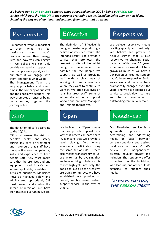*We believe our 6 CORE VALUES enhance what is required by the CQC by being a PERSON LED service which puts the PERSON at the centre of everything we do, including being open to new ideas, changing the way we of do things and learning from things that go wrong*.

Ask someone what is important to them, what they feel passionate about; you'll discover where their energy lives and how you can engage it. We believe we can only provide outstanding support to the people we support, and to our staff, if we engage with them, and that is what we do!! The Management Team are very approachable and spend time in the company of our staff and the people we support. This way promotes a sense of being on a journey together, the journey of life.

The definition of safe according to the CQC is:

CSS must assess the risks to people's health and safety during any care or treatment and make sure that staff have the qualifications, competence, skills, and experience to keep people safe. CSS must make sure that the premises and any equipment used is safe and where applicable, available in sufficient quantities. Medicines must be managed safely and administered appropriately. CSS must prevent and control the spread of infection. CSS have built this into everything we do.

The definition of 'Effective' is being successful in producing a desired or intended result. The intended result is to provide a service that promotes the greatest quality of life whilst being as independent as possible for the people we support, as well as providing staff with a clear way of working in an atmosphere where they want to continue to work in. We pride ourselves on retaining great staff, some of whom started as a support worker and are now Managers and Trainers themselves.

We believe that 'Open' means that we provide support in a way that others can participate in. It means that we provide a level playing field where everybody participates using the same set of rules. 'Open' also means transparency to us. We invite trust by revealing that we have nothing to hide, as this report highlights not only the good bits, but also the areas we are trying to improve. We have established we provide an honest, credible person-centred support service, in the eyes of others.

## Passionate Effective Responsive

We believe responsive means reacting quickly and positively. We believe we provide a flexible service that is also responsive to changing social patterns. With over 20 years' experience, we would not have grown as much as we have if our person-centred led support hadn't been responsive. Social awareness and patterns have dramatically changed over the years, and we have adapted our service to break down barriers and be a forerunner in outstanding care in Calderdale.

## Safe Open Needs-Led

Our Needs-Led service is a systematic process for determining and addressing needs, or "gaps" between current conditions and desired conditions or "wants". We believe in independence, diversity, equality, privacy, and inclusion. The support we offer is centred on the individual, who leads us, and other outside agencies, to support their needs.



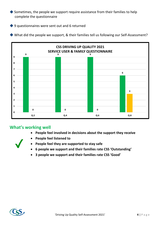◆ Sometimes, the people we support require assistance from their families to help complete the questionnaire

◆ 9 questionnaires were sent out and 6 returned

◆ What did the people we support, & their families tell us following our Self-Assessment?



### **What's working well**

- **People feel involved in decisions about the support they receive**
- 
- **People feel listened to**
- **People feel they are supported to stay safe**
- **6 people we support and their families rate CSS 'Outstanding'**
- **3 people we support and their families rate CSS 'Good'**

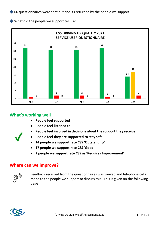◆ 66 questionnaires were sent out and 33 returned by the people we support

◆ What did the people we support tell us?



### **What's working well**

- **People feel supported**
- **People feel listened to**
- **People feel involved in decisions about the support they receive**
- **People feel they are supported to stay safe**
- **14 people we support rate CSS 'Outstanding'**
- **17 people we support rate CSS 'Good'**
- **2 people we support rate CSS as 'Requires Improvement'**

#### **Where can we improve?**



Feedback received from the questionnaires was viewed and telephone calls made to the people we support to discuss this. This is given on the following page

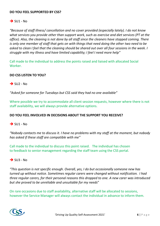#### **DO YOU FEEL SUPPORTED BY CSS?**

#### $\rightarrow$  SU1 - No

*"Because of staff illness/ cancellation and no cover provided (especially lately). I do not know what services you provide other than support work, such as exercise and diet services (PT at the office). Also, the cleaning is not done by all staff since the cleaners have stopped coming. There is only one member of staff that gets on with things that need doing the other two need to be asked to clean I feel that the cleaning should be shared out over all four sessions in the week. I struggle with my illness and have limited capability; I feel I need more help"*

Call made to the individual to address the points raised and liaised with allocated Social Worker.

#### **DO CSS LISTEN TO YOU?**

 $\rightarrow$  SU2 - No

*"Asked for someone for Tuesdays but CSS said they had no one available"*

Where possible we try to accommodate all client session requests, however where there is not staff availability, we will always provide alternative options.

#### **DO YOU FEEL INVOLVED IN DECISIONS ABOUT THE SUPPORT YOU RECEIVE?**

 $\rightarrow$  SU1 - No

*"Nobody contacts me to discuss it. I have no problems with my staff at the moment, but nobody has asked if these staff are compatible with me"*

Call made to the individual to discuss this point raised. The individual has chosen to feedback to senior management regarding the staff team using the CSS portal.

#### $\rightarrow$  SU3 - No

*"This question is not specific enough. Overall, yes, I do but occasionally someone new has turned up without notice. Sometimes regular carers were changed without notification. I had three regular carers, for their personal reasons this dropped to one. A new carer was introduced but she proved to be unreliable and unsuitable for my needs*"

On rare occasions due to staff availability, alternative staff will be allocated to sessions, however the Service Manager will always contact the individual in advance to inform them.

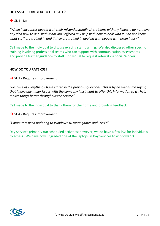#### **DO CSS SUPPORT YOU TO FEEL SAFE?**

#### $\rightarrow$  SU1 - No

*"When I encounter people with their misunderstanding/ problems with my illness, I do not have any idea how to deal with it nor am I offered any help with how to deal with it. I do not know what staff are trained in and if they are trained in dealing with people with brain injury"*

Call made to the individual to discuss existing staff training. We also discussed other specific training involving professional teams who can support with communication assessments and provide further guidance to staff. Individual to request referral via Social Worker.

#### **HOW DO YOU RATE CSS?**

**→** SU1 - Requires improvement

*"Because of everything I have stated in the previous questions. This is by no means me saying that I have any major issues with the company I just want to offer this information to try help makes things better throughout the service"*

Call made to the individual to thank them for their time and providing feedback.

**→ SU4 - Requires improvement** 

*"Computers need updating to Windows 10 more games and DVD's*"

Day Services primarily run scheduled activities; however, we do have a few PCs for individuals to access. We have now upgraded one of the laptops in Day Services to windows 10.

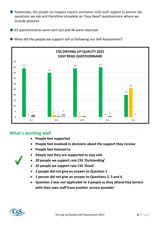◆ Sometimes, the people we support require assistance with staff support to answer the questions we ask and therefore complete an 'Easy Read' questionnaire where we include pictures

◆ 62 questionnaires were sent out and 46 were returned



◆ What did the people we support tell us following our Self-Assessment?

## **What's working well**

- **People feel supported**
- **People feel involved in decisions about the support they receive**
- **People feel listened to**



- **People feel they are supported to stay safe**
- **20 people we support rate CSS 'Outstanding'**
- **25 people we support rate CSS 'Good'**
- **2 people did not give an answer to Question 1**
- **1 person did not give an answer to Questions 2, 3 and 4**
- **Question 2 was not applicable to 3 people as they attend Day Service with their own staff from another service provider**

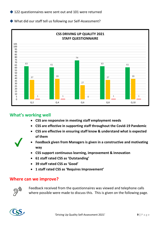◆ What did our staff tell us following our Self-Assessment?



### **What's working well**

- **CSS are responsive in meeting staff employment needs**
- **CSS are effective in supporting staff throughout the Covid-19 Pandemic**
- **CSS are effective in ensuring staff know & understand what is expected of them**
- - **Feedback given from Managers is given in a constructive and motivating way**
	- **CSS support continuous learning, improvement & innovation**
	- **61 staff rated CSS as 'Outstanding'**
	- **39 staff rated CSS as 'Good'**
	- **1 staff rated CSS as 'Requires Improvement'**

#### **Where can we improve?**



Feedback received from the questionnaires was viewed and telephone calls where possible were made to discuss this. This is given on the following page.

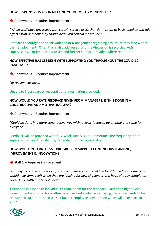#### **HOW RESPONSIVE IS CSS IN MEETING YOUR EMPLOYMENT NEEDS?**

#### **→** Anonymous – Requires improvement

*"When staff have any issues with certain service users they don't seem to be listened to and this affects staff and how they should deal with certain individuals"*

Staff are encouraged to speak with Senior Management regarding any issues they face within their employment. Often this is also addressed, and the discussion is recorded within supervisions. Options are discussed and further support provided where required.

#### **HOW EFFECTIVE HAS CSS BEEN WITH SUPPORTING YOU THROUGHOUT THE COVID-19 PANDEMIC?**

**→** Anonymous – Requires improvement

*No reason was given*

Unable to investigate or respond as no information provided.

#### **HOW WOULD YOU RATE FEEDBACK GIVEN FROM MANAGERS, IS THIS DONE IN A CONSTRUCTIVE AND MOTIVATING WAY?**

**→** Anonymous – Requires improvement

*"Could be done in a more constructive way with reviews followed up on time and same for everyone*"

Feedback will be provided within 12-week supervision. Sometimes the frequency of the supervisions may differ slightly, dependant on staff availability.

#### **HOW WOULD YOU RATE CSS'S PROGRESS TO SUPPORT CONTINUOUS LEARNING, IMPROVEMENT & INNOVATION?**

 $\rightarrow$  Staff 1 – Requires improvement

*"Finding accredited courses staff can complete such as Level 5 in Health and Social Care. This would help some staff when they are looking for new challenges and have already completed Level 3 in Health and Social Care"*

Telephone call made to individual to thank them for the feedback. Discussed higher level development and how this is often based around evidence gathering, therefore needs to be relevant to current role. Discussed further employee consultation which will take place in 2022.